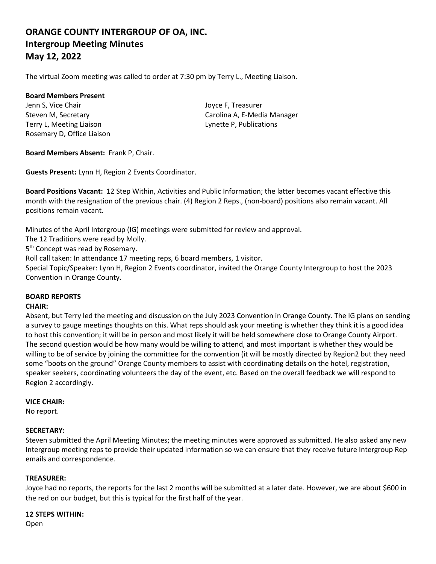# **ORANGE COUNTY INTERGROUP OF OA, INC. Intergroup Meeting Minutes May 12, 2022**

The virtual Zoom meeting was called to order at 7:30 pm by Terry L., Meeting Liaison.

#### **Board Members Present**

Jenn S, Vice Chair **Joyce F**, Treasurer Terry L, Meeting Liaison Lynette P, Publications Rosemary D, Office Liaison

Steven M, Secretary **Carolina A, E-Media Manager** Carolina A, E-Media Manager

**Board Members Absent:** Frank P, Chair.

**Guests Present:** Lynn H, Region 2 Events Coordinator.

**Board Positions Vacant:** 12 Step Within, Activities and Public Information; the latter becomes vacant effective this month with the resignation of the previous chair. (4) Region 2 Reps., (non-board) positions also remain vacant. All positions remain vacant.

Minutes of the April Intergroup (IG) meetings were submitted for review and approval.

The 12 Traditions were read by Molly.

5<sup>th</sup> Concept was read by Rosemary.

Roll call taken: In attendance 17 meeting reps, 6 board members, 1 visitor.

Special Topic/Speaker: Lynn H, Region 2 Events coordinator, invited the Orange County Intergroup to host the 2023 Convention in Orange County.

## **BOARD REPORTS**

## **CHAIR:**

Absent, but Terry led the meeting and discussion on the July 2023 Convention in Orange County. The IG plans on sending a survey to gauge meetings thoughts on this. What reps should ask your meeting is whether they think it is a good idea to host this convention; it will be in person and most likely it will be held somewhere close to Orange County Airport. The second question would be how many would be willing to attend, and most important is whether they would be willing to be of service by joining the committee for the convention (it will be mostly directed by Region2 but they need some "boots on the ground" Orange County members to assist with coordinating details on the hotel, registration, speaker seekers, coordinating volunteers the day of the event, etc. Based on the overall feedback we will respond to Region 2 accordingly.

## **VICE CHAIR:**

No report.

## **SECRETARY:**

Steven submitted the April Meeting Minutes; the meeting minutes were approved as submitted. He also asked any new Intergroup meeting reps to provide their updated information so we can ensure that they receive future Intergroup Rep emails and correspondence.

## **TREASURER:**

Joyce had no reports, the reports for the last 2 months will be submitted at a later date. However, we are about \$600 in the red on our budget, but this is typical for the first half of the year.

#### **12 STEPS WITHIN:**

Open